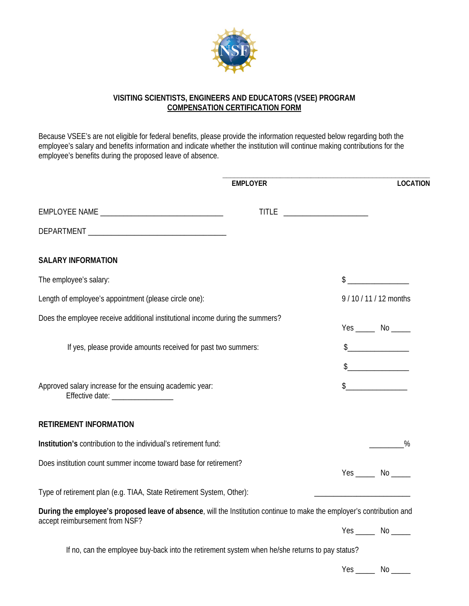

## **VISITING SCIENTISTS, ENGINEERS AND EDUCATORS (VSEE) PROGRAM COMPENSATION CERTIFICATION FORM**

Because VSEE's are not eligible for federal benefits, please provide the information requested below regarding both the employee's salary and benefits information and indicate whether the institution will continue making contributions for the employee's benefits during the proposed leave of absence.

|                                                                                                                                                          | <b>EMPLOYER</b> |                                 | <b>LOCATION</b>                                                                                                                                                                                                                                                                                                                                     |
|----------------------------------------------------------------------------------------------------------------------------------------------------------|-----------------|---------------------------------|-----------------------------------------------------------------------------------------------------------------------------------------------------------------------------------------------------------------------------------------------------------------------------------------------------------------------------------------------------|
|                                                                                                                                                          |                 | TITLE _________________________ |                                                                                                                                                                                                                                                                                                                                                     |
|                                                                                                                                                          |                 |                                 |                                                                                                                                                                                                                                                                                                                                                     |
| <b>SALARY INFORMATION</b>                                                                                                                                |                 |                                 |                                                                                                                                                                                                                                                                                                                                                     |
| The employee's salary:                                                                                                                                   |                 |                                 | $\frac{1}{2}$                                                                                                                                                                                                                                                                                                                                       |
| Length of employee's appointment (please circle one):                                                                                                    |                 |                                 | 9/10/11/12 months                                                                                                                                                                                                                                                                                                                                   |
| Does the employee receive additional institutional income during the summers?                                                                            |                 |                                 | $Yes$ No $\rule{1em}{0.15mm}$ No $\rule{1em}{0.15mm}$                                                                                                                                                                                                                                                                                               |
| If yes, please provide amounts received for past two summers:                                                                                            |                 |                                 | $\begin{picture}(20,10) \put(0,0){\line(1,0){10}} \put(15,0){\line(1,0){10}} \put(15,0){\line(1,0){10}} \put(15,0){\line(1,0){10}} \put(15,0){\line(1,0){10}} \put(15,0){\line(1,0){10}} \put(15,0){\line(1,0){10}} \put(15,0){\line(1,0){10}} \put(15,0){\line(1,0){10}} \put(15,0){\line(1,0){10}} \put(15,0){\line(1,0){10}} \put(15,0){\line(1$ |
|                                                                                                                                                          |                 |                                 | $\begin{picture}(20,10) \put(0,0){\line(1,0){10}} \put(15,0){\line(1,0){10}} \put(15,0){\line(1,0){10}} \put(15,0){\line(1,0){10}} \put(15,0){\line(1,0){10}} \put(15,0){\line(1,0){10}} \put(15,0){\line(1,0){10}} \put(15,0){\line(1,0){10}} \put(15,0){\line(1,0){10}} \put(15,0){\line(1,0){10}} \put(15,0){\line(1,0){10}} \put(15,0){\line(1$ |
| Approved salary increase for the ensuing academic year:<br>Effective date: __________________                                                            |                 |                                 | $\frac{1}{2}$                                                                                                                                                                                                                                                                                                                                       |
| <b>RETIREMENT INFORMATION</b>                                                                                                                            |                 |                                 |                                                                                                                                                                                                                                                                                                                                                     |
| Institution's contribution to the individual's retirement fund:                                                                                          |                 |                                 | %                                                                                                                                                                                                                                                                                                                                                   |
| Does institution count summer income toward base for retirement?                                                                                         |                 |                                 | $Yes$ No _______                                                                                                                                                                                                                                                                                                                                    |
| Type of retirement plan (e.g. TIAA, State Retirement System, Other):                                                                                     |                 |                                 |                                                                                                                                                                                                                                                                                                                                                     |
| During the employee's proposed leave of absence, will the Institution continue to make the employer's contribution and<br>accept reimbursement from NSF? |                 |                                 |                                                                                                                                                                                                                                                                                                                                                     |
|                                                                                                                                                          |                 |                                 |                                                                                                                                                                                                                                                                                                                                                     |
| If no, can the employee buy-back into the retirement system when he/she returns to pay status?                                                           |                 |                                 |                                                                                                                                                                                                                                                                                                                                                     |
|                                                                                                                                                          |                 |                                 | $Yes$ No _______                                                                                                                                                                                                                                                                                                                                    |